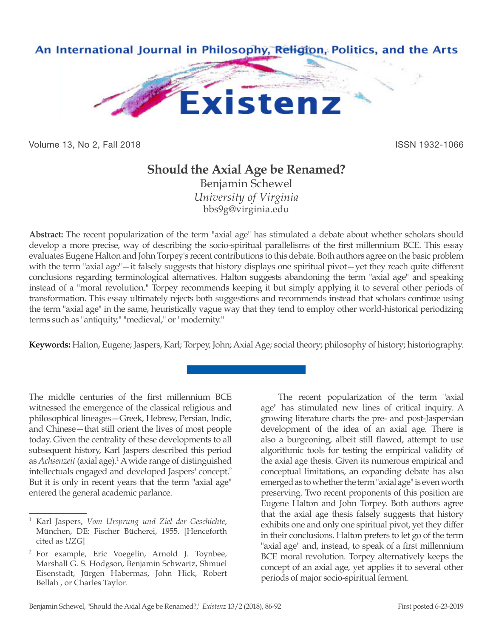

Volume 13, No 2, Fall 2018 ISSN 1932-1066

## **Should the Axial Age be Renamed?**

Benjamin Schewel *University of Virginia* bbs9g@virginia.edu

**Abstract:** The recent popularization of the term "axial age" has stimulated a debate about whether scholars should develop a more precise, way of describing the socio-spiritual parallelisms of the first millennium BCE. This essay evaluates Eugene Halton and John Torpey's recent contributions to this debate. Both authors agree on the basic problem with the term "axial age"—it falsely suggests that history displays one spiritual pivot—yet they reach quite different conclusions regarding terminological alternatives. Halton suggests abandoning the term "axial age" and speaking instead of a "moral revolution." Torpey recommends keeping it but simply applying it to several other periods of transformation. This essay ultimately rejects both suggestions and recommends instead that scholars continue using the term "axial age" in the same, heuristically vague way that they tend to employ other world-historical periodizing terms such as "antiquity," "medieval," or "modernity."

**Keywords:** Halton, Eugene; Jaspers, Karl; Torpey, John; Axial Age; social theory; philosophy of history; historiography.

The middle centuries of the first millennium BCE witnessed the emergence of the classical religious and philosophical lineages—Greek, Hebrew, Persian, Indic, and Chinese—that still orient the lives of most people today. Given the centrality of these developments to all subsequent history, Karl Jaspers described this period as *Achsenzeit* (axial age).<sup>1</sup> A wide range of distinguished intellectuals engaged and developed Jaspers' concept.<sup>2</sup> But it is only in recent years that the term "axial age" entered the general academic parlance.

The recent popularization of the term "axial age" has stimulated new lines of critical inquiry. A growing literature charts the pre- and post-Jaspersian development of the idea of an axial age. There is also a burgeoning, albeit still flawed, attempt to use algorithmic tools for testing the empirical validity of the axial age thesis. Given its numerous empirical and conceptual limitations, an expanding debate has also emerged as to whether the term "axial age" is even worth preserving. Two recent proponents of this position are Eugene Halton and John Torpey. Both authors agree that the axial age thesis falsely suggests that history exhibits one and only one spiritual pivot, yet they differ in their conclusions. Halton prefers to let go of the term "axial age" and, instead, to speak of a first millennium BCE moral revolution. Torpey alternatively keeps the concept of an axial age, yet applies it to several other periods of major socio-spiritual ferment.

<sup>1</sup> Karl Jaspers, *Vom Ursprung und Ziel der Geschichte*, München, DE: Fischer Bücherei, 1955. [Henceforth cited as *UZG*]

<sup>2</sup> For example, Eric Voegelin, Arnold J. Toynbee, Marshall G. S. Hodgson, Benjamin Schwartz, Shmuel Eisenstadt, Jürgen Habermas, John Hick, Robert Bellah , or Charles Taylor.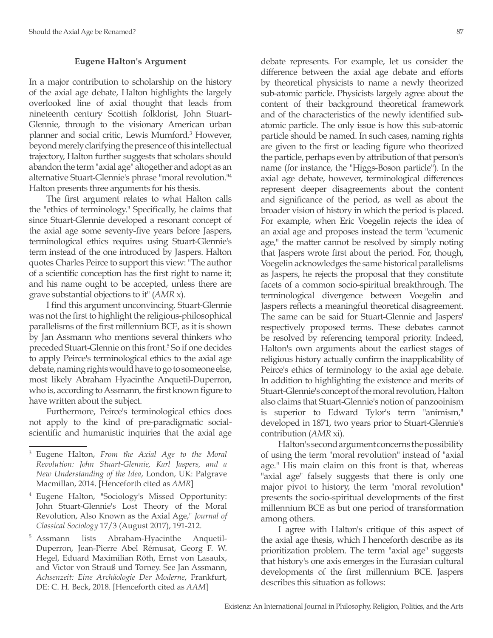## **Eugene Halton's Argument**

In a major contribution to scholarship on the history of the axial age debate, Halton highlights the largely overlooked line of axial thought that leads from nineteenth century Scottish folklorist, John Stuart-Glennie, through to the visionary American urban planner and social critic, Lewis Mumford.3 However, beyond merely clarifying the presence of this intellectual trajectory, Halton further suggests that scholars should abandon the term "axial age" altogether and adopt as an alternative Stuart-Glennie's phrase "moral revolution."<sup>4</sup> Halton presents three arguments for his thesis.

The first argument relates to what Halton calls the "ethics of terminology." Specifically, he claims that since Stuart-Glennie developed a resonant concept of the axial age some seventy-five years before Jaspers, terminological ethics requires using Stuart-Glennie's term instead of the one introduced by Jaspers. Halton quotes Charles Peirce to support this view: "The author of a scientific conception has the first right to name it; and his name ought to be accepted, unless there are grave substantial objections to it" (*AMR* x).

I find this argument unconvincing. Stuart-Glennie was not the first to highlight the religious-philosophical parallelisms of the first millennium BCE, as it is shown by Jan Assmann who mentions several thinkers who preceded Stuart-Glennie on this front.<sup>5</sup> So if one decides to apply Peirce's terminological ethics to the axial age debate, naming rights would have to go to someone else, most likely Abraham Hyacinthe Anquetil-Duperron, who is, according to Assmann, the first known figure to have written about the subject.

Furthermore, Peirce's terminological ethics does not apply to the kind of pre-paradigmatic socialscientific and humanistic inquiries that the axial age

debate represents. For example, let us consider the difference between the axial age debate and efforts by theoretical physicists to name a newly theorized sub-atomic particle. Physicists largely agree about the content of their background theoretical framework and of the characteristics of the newly identified subatomic particle. The only issue is how this sub-atomic particle should be named. In such cases, naming rights are given to the first or leading figure who theorized the particle, perhaps even by attribution of that person's name (for instance, the "Higgs-Boson particle"). In the axial age debate, however, terminological differences represent deeper disagreements about the content and significance of the period, as well as about the broader vision of history in which the period is placed. For example, when Eric Voegelin rejects the idea of an axial age and proposes instead the term "ecumenic age," the matter cannot be resolved by simply noting that Jaspers wrote first about the period. For, though, Voegelin acknowledges the same historical parallelisms as Jaspers, he rejects the proposal that they constitute facets of a common socio-spiritual breakthrough. The terminological divergence between Voegelin and Jaspers reflects a meaningful theoretical disagreement. The same can be said for Stuart-Glennie and Jaspers' respectively proposed terms. These debates cannot be resolved by referencing temporal priority. Indeed, Halton's own arguments about the earliest stages of religious history actually confirm the inapplicability of Peirce's ethics of terminology to the axial age debate. In addition to highlighting the existence and merits of Stuart-Glennie's concept of the moral revolution, Halton also claims that Stuart-Glennie's notion of panzooinism is superior to Edward Tylor's term "animism," developed in 1871, two years prior to Stuart-Glennie's contribution (*AMR* xi).

Halton's second argument concerns the possibility of using the term "moral revolution" instead of "axial age." His main claim on this front is that, whereas "axial age" falsely suggests that there is only one major pivot to history, the term "moral revolution" presents the socio-spiritual developments of the first millennium BCE as but one period of transformation among others.

I agree with Halton's critique of this aspect of the axial age thesis, which I henceforth describe as its prioritization problem. The term "axial age" suggests that history's one axis emerges in the Eurasian cultural developments of the first millennium BCE. Jaspers describes this situation as follows:

<sup>3</sup> Eugene Halton, *From the Axial Age to the Moral Revolution: John Stuart-Glennie, Karl Jaspers, and a New Understanding of the Idea*, London, UK: Palgrave Macmillan, 2014. [Henceforth cited as *AMR*]

<sup>4</sup> Eugene Halton, "Sociology's Missed Opportunity: John Stuart-Glennie's Lost Theory of the Moral Revolution, Also Known as the Axial Age," *Journal of Classical Sociology* 17/3 (August 2017), 191-212.

<sup>5</sup> Assmann lists Abraham-Hyacinthe Anquetil-Duperron, Jean-Pierre Abel Rémusat, Georg F. W. Hegel, Eduard Maximilian Röth, Ernst von Lasaulx, and Victor von Strauß und Torney. See Jan Assmann, *Achsenzeit: Eine Archäologie Der Moderne*, Frankfurt, DE: C. H. Beck, 2018. [Henceforth cited as *AAM*]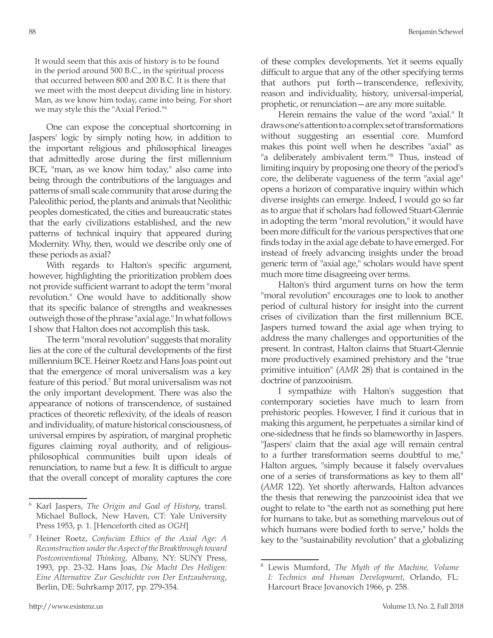It would seem that this axis of history is to be found in the period around 500 B.C., in the spiritual process that occurred between 800 and 200 B.C. It is there that we meet with the most deepcut dividing line in history. Man, as we know him today, came into being. For short we may style this the "Axial Period."<sup>6</sup>

One can expose the conceptual shortcoming in Jaspers' logic by simply noting how, in addition to the important religious and philosophical lineages that admittedly arose during the first millennium BCE, "man, as we know him today," also came into being through the contributions of the languages and patterns of small scale community that arose during the Paleolithic period, the plants and animals that Neolithic peoples domesticated, the cities and bureaucratic states that the early civilizations established, and the new patterns of technical inquiry that appeared during Modernity. Why, then, would we describe only one of these periods as axial?

With regards to Halton's specific argument, however, highlighting the prioritization problem does not provide sufficient warrant to adopt the term "moral revolution." One would have to additionally show that its specific balance of strengths and weaknesses outweigh those of the phrase "axial age." In what follows I show that Halton does not accomplish this task.

The term "moral revolution" suggests that morality lies at the core of the cultural developments of the first millennium BCE. Heiner Roetz and Hans Joas point out that the emergence of moral universalism was a key feature of this period.<sup>7</sup> But moral universalism was not the only important development. There was also the appearance of notions of transcendence, of sustained practices of theoretic reflexivity, of the ideals of reason and individuality, of mature historical consciousness, of universal empires by aspiration, of marginal prophetic figures claiming royal authority, and of religiousphilosophical communities built upon ideals of renunciation, to name but a few. It is difficult to argue that the overall concept of morality captures the core

of these complex developments. Yet it seems equally difficult to argue that any of the other specifying terms that authors put forth—transcendence, reflexivity, reason and individuality, history, universal-imperial, prophetic, or renunciation—are any more suitable.

Herein remains the value of the word "axial." It draws one's attention to a complex set of transformations without suggesting an essential core. Mumford makes this point well when he describes "axial" as "a deliberately ambivalent term."<sup>8</sup> Thus, instead of limiting inquiry by proposing one theory of the period's core, the deliberate vagueness of the term "axial age" opens a horizon of comparative inquiry within which diverse insights can emerge. Indeed, I would go so far as to argue that if scholars had followed Stuart-Glennie in adopting the term "moral revolution," it would have been more difficult for the various perspectives that one finds today in the axial age debate to have emerged. For instead of freely advancing insights under the broad generic term of "axial age," scholars would have spent much more time disagreeing over terms.

Halton's third argument turns on how the term "moral revolution" encourages one to look to another period of cultural history for insight into the current crises of civilization than the first millennium BCE. Jaspers turned toward the axial age when trying to address the many challenges and opportunities of the present. In contrast, Halton claims that Stuart-Glennie more productively examined prehistory and the "true primitive intuition" (*AMR* 28) that is contained in the doctrine of panzooinism.

I sympathize with Halton's suggestion that contemporary societies have much to learn from prehistoric peoples. However, I find it curious that in making this argument, he perpetuates a similar kind of one-sidedness that he finds so blameworthy in Jaspers. "Jaspers' claim that the axial age will remain central to a further transformation seems doubtful to me," Halton argues, "simply because it falsely overvalues one of a series of transformations as key to them all" (*AMR* 122). Yet shortly afterwards, Halton advances the thesis that renewing the panzooinist idea that we ought to relate to "the earth not as something put here for humans to take, but as something marvelous out of which humans were bodied forth to serve," holds the key to the "sustainability revolution" that a globalizing

<sup>6</sup> Karl Jaspers, *The Origin and Goal of History*, transl. Michael Bullock, New Haven, CT: Yale University Press 1953, p. 1. [Henceforth cited as *OGH*]

<sup>7</sup> Heiner Roetz, *Confucian Ethics of the Axial Age: A Reconstruction under the Aspect of the Breakthrough toward Postconventional Thinking*, Albany, NY: SUNY Press, 1993, pp. 23-32. Hans Joas, *Die Macht Des Heiligen: Eine Alternative Zur Geschichte von Der Entzauberung*, Berlin, DE: Suhrkamp 2017, pp. 279-354.

<sup>8</sup> Lewis Mumford, *The Myth of the Machine, Volume I: Technics and Human Development*, Orlando, FL: Harcourt Brace Jovanovich 1966, p. 258.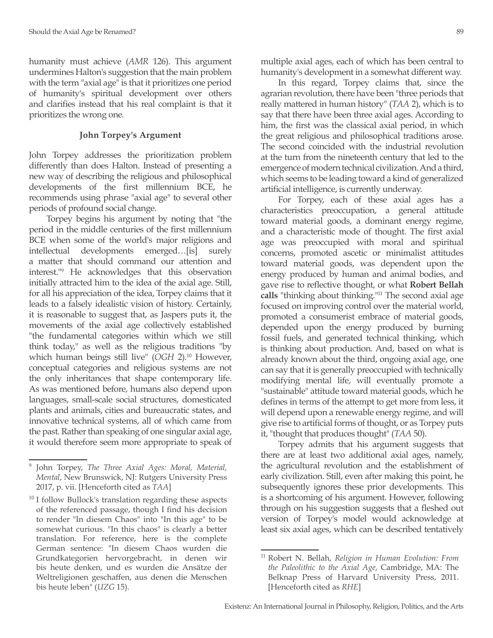humanity must achieve (*AMR* 126). This argument undermines Halton's suggestion that the main problem with the term "axial age" is that it prioritizes one period of humanity's spiritual development over others and clarifies instead that his real complaint is that it prioritizes the wrong one.

## **John Torpey's Argument**

John Torpey addresses the prioritization problem differently than does Halton. Instead of presenting a new way of describing the religious and philosophical developments of the first millennium BCE, he recommends using phrase "axial age" to several other periods of profound social change.

Torpey begins his argument by noting that "the period in the middle centuries of the first millennium BCE when some of the world's major religions and intellectual developments emerged…[is] surely a matter that should command our attention and interest."9 He acknowledges that this observation initially attracted him to the idea of the axial age. Still, for all his appreciation of the idea, Torpey claims that it leads to a falsely idealistic vision of history. Certainly, it is reasonable to suggest that, as Jaspers puts it, the movements of the axial age collectively established "the fundamental categories within which we still think today," as well as the religious traditions "by which human beings still live" (OGH 2).<sup>10</sup> However, conceptual categories and religious systems are not the only inheritances that shape contemporary life. As was mentioned before, humans also depend upon languages, small-scale social structures, domesticated plants and animals, cities and bureaucratic states, and innovative technical systems, all of which came from the past. Rather than speaking of one singular axial age, it would therefore seem more appropriate to speak of

multiple axial ages, each of which has been central to humanity's development in a somewhat different way.

In this regard, Torpey claims that, since the agrarian revolution, there have been "three periods that really mattered in human history" (*TAA* 2), which is to say that there have been three axial ages. According to him, the first was the classical axial period, in which the great religious and philosophical traditions arose. The second coincided with the industrial revolution at the turn from the nineteenth century that led to the emergence of modern technical civilization. And a third, which seems to be leading toward a kind of generalized artificial intelligence, is currently underway.

For Torpey, each of these axial ages has a characteristics preoccupation, a general attitude toward material goods, a dominant energy regime, and a characteristic mode of thought. The first axial age was preoccupied with moral and spiritual concerns, promoted ascetic or minimalist attitudes toward material goods, was dependent upon the energy produced by human and animal bodies, and gave rise to reflective thought, or what **Robert Bellah calls** "thinking about thinking."11 The second axial age focused on improving control over the material world, promoted a consumerist embrace of material goods, depended upon the energy produced by burning fossil fuels, and generated technical thinking, which is thinking about production. And, based on what is already known about the third, ongoing axial age, one can say that it is generally preoccupied with technically modifying mental life, will eventually promote a "sustainable" attitude toward material goods, which he defines in terms of the attempt to get more from less, it will depend upon a renewable energy regime, and will give rise to artificial forms of thought, or as Torpey puts it, "thought that produces thought" (*TAA* 50).

Torpey admits that his argument suggests that there are at least two additional axial ages, namely, the agricultural revolution and the establishment of early civilization. Still, even after making this point, he subsequently ignores these prior developments. This is a shortcoming of his argument. However, following through on his suggestion suggests that a fleshed out version of Torpey's model would acknowledge at least six axial ages, which can be described tentatively

<sup>9</sup> John Torpey, *The Three Axial Ages: Moral, Material, Mental*, New Brunswick, NJ: Rutgers University Press 2017, p. vii. [Henceforth cited as *TAA*]

 $10$  I follow Bullock's translation regarding these aspects of the referenced passage, though I find his decision to render "In diesem Chaos" into "In this age" to be somewhat curious. "In this chaos" is clearly a better translation. For reference, here is the complete German sentence: "In diesem Chaos wurden die Grundkategorien hervorgebracht, in denen wir bis heute denken, und es wurden die Ansätze der Weltreligionen geschaffen, aus denen die Menschen bis heute leben" (*UZG* 15).

<sup>11</sup> Robert N. Bellah, *Religion in Human Evolution: From the Paleolithic to the Axial Age*, Cambridge, MA: The Belknap Press of Harvard University Press, 2011. [Henceforth cited as *RHE*]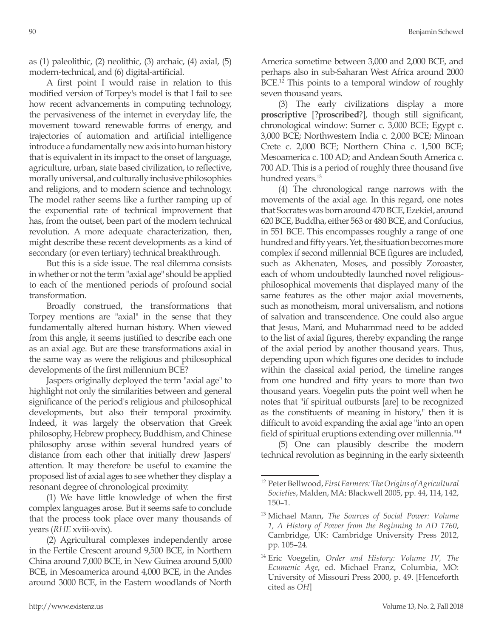as (1) paleolithic, (2) neolithic, (3) archaic, (4) axial, (5) modern-technical, and (6) digital-artificial.

A first point I would raise in relation to this modified version of Torpey's model is that I fail to see how recent advancements in computing technology, the pervasiveness of the internet in everyday life, the movement toward renewable forms of energy, and trajectories of automation and artificial intelligence introduce a fundamentally new axis into human history that is equivalent in its impact to the onset of language, agriculture, urban, state based civilization, to reflective, morally universal, and culturally inclusive philosophies and religions, and to modern science and technology. The model rather seems like a further ramping up of the exponential rate of technical improvement that has, from the outset, been part of the modern technical revolution. A more adequate characterization, then, might describe these recent developments as a kind of secondary (or even tertiary) technical breakthrough.

But this is a side issue. The real dilemma consists in whether or not the term "axial age" should be applied to each of the mentioned periods of profound social transformation.

Broadly construed, the transformations that Torpey mentions are "axial" in the sense that they fundamentally altered human history. When viewed from this angle, it seems justified to describe each one as an axial age. But are these transformations axial in the same way as were the religious and philosophical developments of the first millennium BCE?

Jaspers originally deployed the term "axial age" to highlight not only the similarities between and general significance of the period's religious and philosophical developments, but also their temporal proximity. Indeed, it was largely the observation that Greek philosophy, Hebrew prophecy, Buddhism, and Chinese philosophy arose within several hundred years of distance from each other that initially drew Jaspers' attention. It may therefore be useful to examine the proposed list of axial ages to see whether they display a resonant degree of chronological proximity.

(1) We have little knowledge of when the first complex languages arose. But it seems safe to conclude that the process took place over many thousands of years (*RHE* xviii-xvix).

(2) Agricultural complexes independently arose in the Fertile Crescent around 9,500 BCE, in Northern China around 7,000 BCE, in New Guinea around 5,000 BCE, in Mesoamerica around 4,000 BCE, in the Andes around 3000 BCE, in the Eastern woodlands of North America sometime between 3,000 and 2,000 BCE, and perhaps also in sub-Saharan West Africa around 2000 BCE.<sup>12</sup> This points to a temporal window of roughly seven thousand years.

(3) The early civilizations display a more **proscriptive** [?**proscribed**?], though still significant, chronological window: Sumer c. 3,000 BCE; Egypt c. 3,000 BCE; Northwestern India c. 2,000 BCE; Minoan Crete c. 2,000 BCE; Northern China c. 1,500 BCE; Mesoamerica c. 100 AD; and Andean South America c. 700 AD. This is a period of roughly three thousand five hundred years.<sup>13</sup>

(4) The chronological range narrows with the movements of the axial age. In this regard, one notes that Socrates was born around 470 BCE, Ezekiel, around 620 BCE, Buddha, either 563 or 480 BCE, and Confucius, in 551 BCE. This encompasses roughly a range of one hundred and fifty years. Yet, the situation becomes more complex if second millennial BCE figures are included, such as Akhenaten, Moses, and possibly Zoroaster, each of whom undoubtedly launched novel religiousphilosophical movements that displayed many of the same features as the other major axial movements, such as monotheism, moral universalism, and notions of salvation and transcendence. One could also argue that Jesus, Mani, and Muhammad need to be added to the list of axial figures, thereby expanding the range of the axial period by another thousand years. Thus, depending upon which figures one decides to include within the classical axial period, the timeline ranges from one hundred and fifty years to more than two thousand years. Voegelin puts the point well when he notes that "if spiritual outbursts [are] to be recognized as the constituents of meaning in history," then it is difficult to avoid expanding the axial age "into an open field of spiritual eruptions extending over millennia."<sup>14</sup>

(5) One can plausibly describe the modern technical revolution as beginning in the early sixteenth

<sup>12</sup> Peter Bellwood, *First Farmers: The Origins of Agricultural Societies*, Malden, MA: Blackwell 2005, pp. 44, 114, 142, 150–1.

<sup>13</sup> Michael Mann, *The Sources of Social Power: Volume 1, A History of Power from the Beginning to AD 1760*, Cambridge, UK: Cambridge University Press 2012, pp. 105–24.

<sup>14</sup> Eric Voegelin, *Order and History: Volume IV, The Ecumenic Age*, ed. Michael Franz, Columbia, MO: University of Missouri Press 2000, p. 49. [Henceforth cited as *OH*]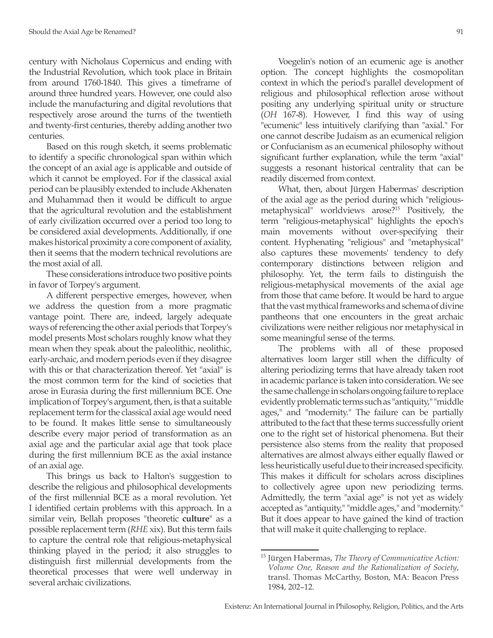century with Nicholaus Copernicus and ending with the Industrial Revolution, which took place in Britain from around 1760-1840. This gives a timeframe of around three hundred years. However, one could also include the manufacturing and digital revolutions that respectively arose around the turns of the twentieth and twenty-first centuries, thereby adding another two centuries.

Based on this rough sketch, it seems problematic to identify a specific chronological span within which the concept of an axial age is applicable and outside of which it cannot be employed. For if the classical axial period can be plausibly extended to include Akhenaten and Muhammad then it would be difficult to argue that the agricultural revolution and the establishment of early civilization occurred over a period too long to be considered axial developments. Additionally, if one makes historical proximity a core component of axiality, then it seems that the modern technical revolutions are the most axial of all.

These considerations introduce two positive points in favor of Torpey's argument.

A different perspective emerges, however, when we address the question from a more pragmatic vantage point. There are, indeed, largely adequate ways of referencing the other axial periods that Torpey's model presents Most scholars roughly know what they mean when they speak about the paleolithic, neolithic, early-archaic, and modern periods even if they disagree with this or that characterization thereof. Yet "axial" is the most common term for the kind of societies that arose in Eurasia during the first millennium BCE. One implication of Torpey's argument, then, is that a suitable replacement term for the classical axial age would need to be found. It makes little sense to simultaneously describe every major period of transformation as an axial age and the particular axial age that took place during the first millennium BCE as the axial instance of an axial age.

This brings us back to Halton's suggestion to describe the religious and philosophical developments of the first millennial BCE as a moral revolution. Yet I identified certain problems with this approach. In a similar vein, Bellah proposes "theoretic **culture**" as a possible replacement term (*RHE* xix). But this term fails to capture the central role that religious-metaphysical thinking played in the period; it also struggles to distinguish first millennial developments from the theoretical processes that were well underway in several archaic civilizations.

Voegelin's notion of an ecumenic age is another option. The concept highlights the cosmopolitan context in which the period's parallel development of religious and philosophical reflection arose without positing any underlying spiritual unity or structure (*OH* 167-8). However, I find this way of using "ecumenic" less intuitively clarifying than "axial." For one cannot describe Judaism as an ecumenical religion or Confucianism as an ecumenical philosophy without significant further explanation, while the term "axial" suggests a resonant historical centrality that can be readily discerned from context.

What, then, about Jürgen Habermas' description of the axial age as the period during which "religiousmetaphysical" worldviews arose?15 Positively, the term "religious-metaphysical" highlights the epoch's main movements without over-specifying their content. Hyphenating "religious" and "metaphysical" also captures these movements' tendency to defy contemporary distinctions between religion and philosophy. Yet, the term fails to distinguish the religious-metaphysical movements of the axial age from those that came before. It would be hard to argue that the vast mythical frameworks and schema of divine pantheons that one encounters in the great archaic civilizations were neither religious nor metaphysical in some meaningful sense of the terms.

The problems with all of these proposed alternatives loom larger still when the difficulty of altering periodizing terms that have already taken root in academic parlance is taken into consideration. We see the same challenge in scholars ongoing failure to replace evidently problematic terms such as "antiquity," "middle ages," and "modernity." The failure can be partially attributed to the fact that these terms successfully orient one to the right set of historical phenomena. But their persistence also stems from the reality that proposed alternatives are almost always either equally flawed or less heuristically useful due to their increased specificity. This makes it difficult for scholars across disciplines to collectively agree upon new periodizing terms. Admittedly, the term "axial age" is not yet as widely accepted as "antiquity," "middle ages," and "modernity." But it does appear to have gained the kind of traction that will make it quite challenging to replace.

<sup>15</sup> Jürgen Habermas, *The Theory of Communicative Action: Volume One, Reason and the Rationalization of Society*, transl. Thomas McCarthy, Boston, MA: Beacon Press 1984, 202–12.